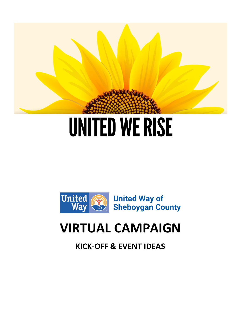

# **UNITED WE RISE**



# **VIRTUAL CAMPAIGN**

**KICK-OFF & EVENT IDEAS**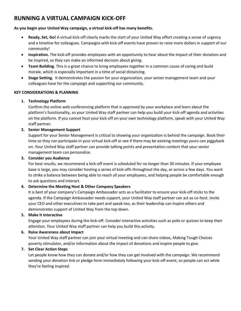## **RUNNING A VIRTUAL CAMPAIGN KICK-OFF**

#### **As you begin your United Way campaign, a virtual kick-off has many benefits.**

- **Ready, Set, Go!** A virtual kick-off clearly marks the start of your United Way effort creating a sense of urgency and a timeline for colleagues. Campaigns with kick-off events have proven to raise more dollars in support of our community!
- **Inspiration.** The kick-off provides employees with an opportunity to hear about the impact of their donation and be inspired, so they can make an informed decision about giving.
- **Team Building.** This is a great chance to bring employees together in a common cause of caring and build morale, which is especially important in a time of social distancing.
- **Stage Setting.** It demonstrates the passion for your organization, your senior management team and your colleagues have for the campaign and supporting our community.

#### **KEY CONSIDERATIONS & PLANNING**

#### **1. Technology Platform**

Confirm the online web conferencing platform that is approved by your workplace and learn about the platform's functionality, so your United Way staff partner can help you build your kick-off agenda and activities on the platform. If you cannot host your kick-off on your own technology platform, speak with your United Way staff partner.

#### **2. Senior Management Support**

Support for your Senior Management is critical to showing your organization is behind the campaign. Book their time so they can participate in your virtual kick-off or see if there may be existing meetings yours can piggyback on. Your United Way staff partner can provide talking points and presentation content that your senior management team can personalize.

#### **3. Consider you Audience**

For best results, we recommend a kick-off event is scheduled for no longer than 30 minutes. If your employee base is large, you may consider hosting a series of kick-offs throughout the day, or across a few days. You want to strike a balance between being able to reach all your employees, and helping people be comfortable enough to ask questions and interact.

#### **4. Determine the Meeting Host & Other Company Speakers**

It is best of your company's Campaign Ambassador acts as a facilitator to ensure your kick-off sticks to the agenda. If the Campaign Ambassador needs support, your United Way staff partner can act as co-host. Invite your CEO and other executives to take part and speak too, as their leadership can inspire others and demonstrates support of United Way from the top down.

#### **5. Make it Interactive**

Engage your employees during the kick-off. Consider interactive activities such as polls or quizzes to keep their attention. Your United Way staff partner can help you build this activity.

#### **6. Raise Awareness about Impact**

Your United Way staff partner can join your virtual meeting and can share videos, Making Tough Choices poverty stimulator, and/or information about the impact of donations and inspire people to give.

#### **7. Set Clear Action Steps**

Let people know how they can donate and/or how they can get involved with the campaign. We recommend sending your donation link or pledge form immediately following your kick-off event, so people can act while they're feeling inspired.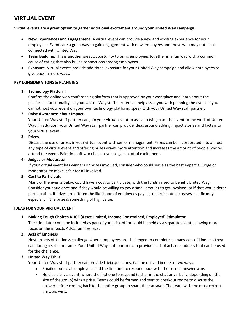### **VIRTUAL EVENT**

#### **Virtual events are a great option to garner additional excitement around your United Way campaign.**

- **New Experiences and Engagement!** A virtual event can provide a new and exciting experience for your employees. Events are a great way to gain engagement with new employees and those who may not be as connected with United Way.
- **Team Building.** This is another great opportunity to bring employees together in a fun way with a common cause of caring that also builds connections among employees.
- **Exposure.** Virtual events provide additional exposure for your United Way campaign and allow employees to give back in more ways.

#### **KEY CONSIDERATIONS & PLANNING**

#### **1. Technology Platform**

Confirm the online web conferencing platform that is approved by your workplace and learn about the platform's functionality, so your United Way staff partner can help assist you with planning the event. If you cannot host your event on your own technology platform, speak with your United Way staff partner.

#### **2. Raise Awareness about Impact**

Your United Way staff partner can join your virtual event to assist in tying back the event to the work of United Way. In addition, your United Way staff partner can provide ideas around adding impact stories and facts into your virtual event.

#### **3. Prizes**

Discuss the use of prizes in your virtual event with senior management. Prizes can be incorporated into almost any type of virtual event and offering prizes draws more attention and increases the amount of people who will attend the event. Paid time off work has proven to gain a lot of excitement.

#### **4. Judges or Moderator**

If your virtual event has winners or prizes involved, consider who could serve as the best impartial judge or moderator, to make it fair for all involved.

#### **5. Cost to Participate**

Many of the events below could have a cost to participate, with the funds raised to benefit United Way. Consider your audience and if they would be willing to pay a small amount to get involved, or if that would deter participation. If prizes are offered the likelihood of employees paying to participate increases significantly, especially if the prize is something of high value.

#### **IDEAS FOR YOUR VIRTUAL EVENT**

#### **1. Making Tough Choices ALICE (Asset Limited, Income Constrained, Employed) Stimulator**

The stimulator could be included as part of your kick-off or could be held as a separate event, allowing more focus on the impacts ALICE families face.

#### **2. Acts of Kindness**

Host an acts of kindness challenge where employees are challenged to complete as many acts of kindness they can during a set timeframe. Your United Way staff partner can provide a list of acts of kindness that can be used for the challenge.

#### **3. United Way Trivia**

Your United Way staff partner can provide trivia questions. Can be utilized in one of two ways:

- Emailed out to all employees and the first one to respond back with the correct answer wins.
- Held as a trivia event, where the first one to respond (either in the chat or verbally, depending on the size of the group) wins a prize. Teams could be formed and sent to breakout rooms to discuss the answer before coming back to the entire group to share their answer. The team with the most correct answers wins.